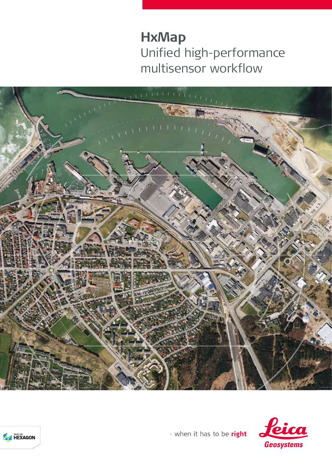## **HxMap** Unified high-performance multisensor workflow







- when it has to be right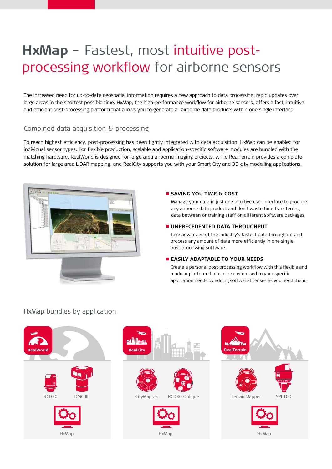# **HxMap** – Fastest, most intuitive postprocessing workflow for airborne sensors

The increased need for up-to-date geospatial information requires a new approach to data processing: rapid updates over large areas in the shortest possible time. HxMap, the high-performance workflow for airborne sensors, offers a fast, intuitive and efficient post-processing platform that allows you to generate all airborne data products within one single interface.

### Combined data acquisition & processing

To reach highest efficiency, post-processing has been tightly integrated with data acquisition. HxMap can be enabled for individual sensor types. For flexible production, scalable and application-specific software modules are bundled with the matching hardware. RealWorld is designed for large area airborne imaging projects, while RealTerrain provides a complete solution for large area LiDAR mapping, and RealCity supports you with your Smart City and 3D city modelling applications.



#### **SAVING YOU TIME & COST**

Manage your data in just one intuitive user interface to produce any airborne data product and don't waste time transferring data between or training staff on different software packages.

#### **UNPRECEDENTED DATA THROUGHPUT**

Take advantage of the industry's fastest data throughput and process any amount of data more efficiently in one single post-processing software.

#### **EASILY ADAPTABLE TO YOUR NEEDS**

Create a personal post-processing workflow with this flexible and modular platform that can be customised to your specific application needs by adding software licenses as you need them.

## HxMap bundles by application

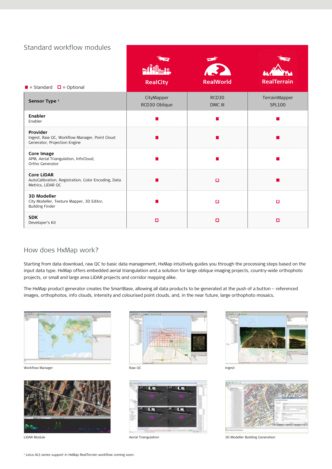## Standard workflow modules

| $\blacksquare$ = Standard $\blacksquare$ = Optional                                           | b<br><b>RealCity</b>        | <b>PA</b><br><b>RealWorld</b> | <b>RealTerrain</b>             |
|-----------------------------------------------------------------------------------------------|-----------------------------|-------------------------------|--------------------------------|
| Sensor Type <sup>1</sup>                                                                      | CityMapper<br>RCD30 Oblique | RCD30<br>DMC III              | TerrainMapper<br><b>SPL100</b> |
| Enabler<br>Enabler                                                                            |                             |                               |                                |
| Provider<br>Ingest, Raw QC, Workflow Manager, Point Cloud<br>Generator, Projection Engine     |                             |                               |                                |
| <b>Core Image</b><br>APM, Aerial Triangulation, InfoCloud,<br>Ortho Generator                 |                             |                               |                                |
| <b>Core LiDAR</b><br>AutoCalibration, Registration, Color Encoding, Data<br>Metrics, LiDAR QC |                             | о                             |                                |
| <b>3D Modeller</b><br>City Modeller, Texture Mapper, 3D Editor,<br><b>Building Finder</b>     |                             | о                             | $\Box$                         |
| <b>SDK</b><br>Developer's Kit                                                                 | $\Box$                      | $\Box$                        | $\Box$                         |

## How does HxMap work?

Starting from data download, raw QC to basic data management, HxMap intuitively guides you through the processing steps based on the input data type. HxMap offers embedded aerial triangulation and a solution for large oblique imaging projects, country-wide orthophoto projects, or small and large area LiDAR projects and corridor mapping alike.

The HxMap product generator creates the SmartBase, allowing all data products to be generated at the push of a button – referenced images, orthophotos, info clouds, intensity and colourised point clouds, and, in the near future, large orthophoto mosaics.



Workflow Manager **Raw QC** Ingest **Raw QC** Index and the United States of the United States and the United States of the United States of the United States and the United States of the United States of the United States and











LiDAR Module **Acknowler Contract Contract Active** Aerial Triangulation **3D Modeller Building Generation** 3D Modeller Building Generation